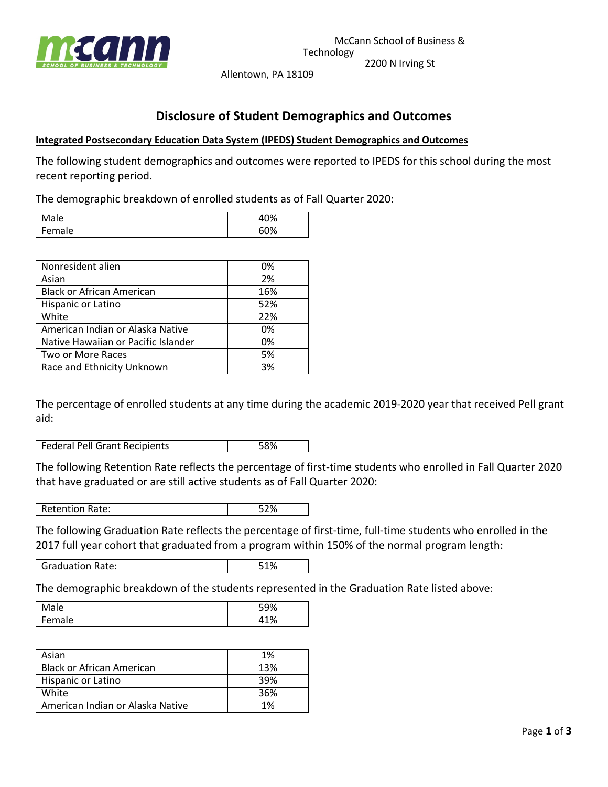

Allentown, PA 18109

## **Disclosure of Student Demographics and Outcomes**

## **Integrated Postsecondary Education Data System (IPEDS) Student Demographics and Outcomes**

The following student demographics and outcomes were reported to IPEDS for this school during the most recent reporting period.

The demographic breakdown of enrolled students as of Fall Quarter 2020:

| lale  | 10% |
|-------|-----|
| emale | 60% |

| Nonresident alien                   | 0%  |
|-------------------------------------|-----|
| Asian                               | 2%  |
| <b>Black or African American</b>    | 16% |
| Hispanic or Latino                  | 52% |
| White                               | 22% |
| American Indian or Alaska Native    | 0%  |
| Native Hawaiian or Pacific Islander | 0%  |
| Two or More Races                   | 5%  |
| Race and Ethnicity Unknown          | 3%  |

The percentage of enrolled students at any time during the academic 2019-2020 year that received Pell grant aid:

**Federal Pell Grant Recipients** 58%

The following Retention Rate reflects the percentage of first-time students who enrolled in Fall Quarter 2020 that have graduated or are still active students as of Fall Quarter 2020:

Retention Rate: 52%

The following Graduation Rate reflects the percentage of first-time, full-time students who enrolled in the 2017 full year cohort that graduated from a program within 150% of the normal program length:

Graduation Rate:  $\qquad \qquad$  51%

The demographic breakdown of the students represented in the Graduation Rate listed above:

| ale           | 0 <sup>1</sup><br>-10<br>ີພ<br>. . |
|---------------|------------------------------------|
| ale<br>∸<br>∼ | 110/<br>70                         |

| Asian                            | 1%  |
|----------------------------------|-----|
| <b>Black or African American</b> | 13% |
| Hispanic or Latino               | 39% |
| White                            | 36% |
| American Indian or Alaska Native | 1%  |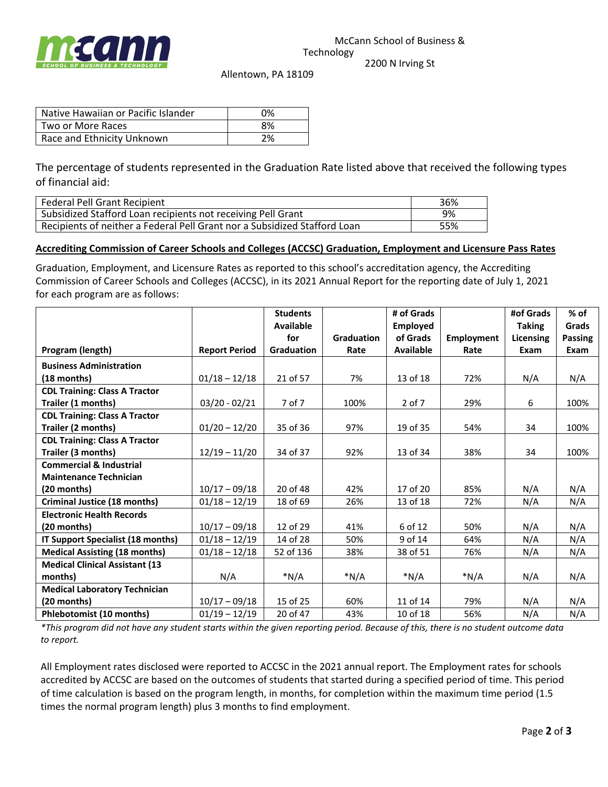

Allentown, PA 18109

Native Hawaiian or Pacific Islander | 0% Two or More Races and the set of the set of the set of the set of the set of the set of the set of the set of the set of the set of the set of the set of the set of the set of the set of the set of the set of the set of th Race and Ethnicity Unknown 2%

The percentage of students represented in the Graduation Rate listed above that received the following types of financial aid:

| <b>Federal Pell Grant Recipient</b>                                       | 36% |
|---------------------------------------------------------------------------|-----|
| Subsidized Stafford Loan recipients not receiving Pell Grant              | 9%  |
| Recipients of neither a Federal Pell Grant nor a Subsidized Stafford Loan | 55% |

## **Accrediting Commission of Career Schools and Colleges (ACCSC) Graduation, Employment and Licensure Pass Rates**

Graduation, Employment, and Licensure Rates as reported to this school's accreditation agency, the Accrediting Commission of Career Schools and Colleges (ACCSC), in its 2021 Annual Report for the reporting date of July 1, 2021 for each program are as follows:

|                                       |                      | <b>Students</b>   |                   | # of Grads       |                   | #of Grads        | $%$ of         |
|---------------------------------------|----------------------|-------------------|-------------------|------------------|-------------------|------------------|----------------|
|                                       |                      | Available         |                   | <b>Employed</b>  |                   | <b>Taking</b>    | Grads          |
|                                       |                      | for               | <b>Graduation</b> | of Grads         | <b>Employment</b> | <b>Licensing</b> | <b>Passing</b> |
| Program (length)                      | <b>Report Period</b> | <b>Graduation</b> | Rate              | <b>Available</b> | Rate              | Exam             | Exam           |
| <b>Business Administration</b>        |                      |                   |                   |                  |                   |                  |                |
| $(18$ months)                         | $01/18 - 12/18$      | 21 of 57          | 7%                | 13 of 18         | 72%               | N/A              | N/A            |
| <b>CDL Training: Class A Tractor</b>  |                      |                   |                   |                  |                   |                  |                |
| Trailer (1 months)                    | $03/20 - 02/21$      | 7 of 7            | 100%              | $2$ of $7$       | 29%               | 6                | 100%           |
| <b>CDL Training: Class A Tractor</b>  |                      |                   |                   |                  |                   |                  |                |
| Trailer (2 months)                    | $01/20 - 12/20$      | 35 of 36          | 97%               | 19 of 35         | 54%               | 34               | 100%           |
| <b>CDL Training: Class A Tractor</b>  |                      |                   |                   |                  |                   |                  |                |
| Trailer (3 months)                    | $12/19 - 11/20$      | 34 of 37          | 92%               | 13 of 34         | 38%               | 34               | 100%           |
| <b>Commercial &amp; Industrial</b>    |                      |                   |                   |                  |                   |                  |                |
| <b>Maintenance Technician</b>         |                      |                   |                   |                  |                   |                  |                |
| (20 months)                           | $10/17 - 09/18$      | 20 of 48          | 42%               | 17 of 20         | 85%               | N/A              | N/A            |
| Criminal Justice (18 months)          | $01/18 - 12/19$      | 18 of 69          | 26%               | 13 of 18         | 72%               | N/A              | N/A            |
| <b>Electronic Health Records</b>      |                      |                   |                   |                  |                   |                  |                |
| (20 months)                           | $10/17 - 09/18$      | 12 of 29          | 41%               | 6 of 12          | 50%               | N/A              | N/A            |
| IT Support Specialist (18 months)     | $01/18 - 12/19$      | 14 of 28          | 50%               | 9 of 14          | 64%               | N/A              | N/A            |
| <b>Medical Assisting (18 months)</b>  | $01/18 - 12/18$      | 52 of 136         | 38%               | 38 of 51         | 76%               | N/A              | N/A            |
| <b>Medical Clinical Assistant (13</b> |                      |                   |                   |                  |                   |                  |                |
| months)                               | N/A                  | $*N/A$            | $*N/A$            | $*N/A$           | $*N/A$            | N/A              | N/A            |
| <b>Medical Laboratory Technician</b>  |                      |                   |                   |                  |                   |                  |                |
| (20 months)                           | $10/17 - 09/18$      | 15 of 25          | 60%               | 11 of 14         | 79%               | N/A              | N/A            |
| <b>Phlebotomist (10 months)</b>       | $01/19 - 12/19$      | 20 of 47          | 43%               | 10 of 18         | 56%               | N/A              | N/A            |

*\*This program did not have any student starts within the given reporting period. Because of this, there is no student outcome data to report.* 

All Employment rates disclosed were reported to ACCSC in the 2021 annual report. The Employment rates for schools accredited by ACCSC are based on the outcomes of students that started during a specified period of time. This period of time calculation is based on the program length, in months, for completion within the maximum time period (1.5 times the normal program length) plus 3 months to find employment.